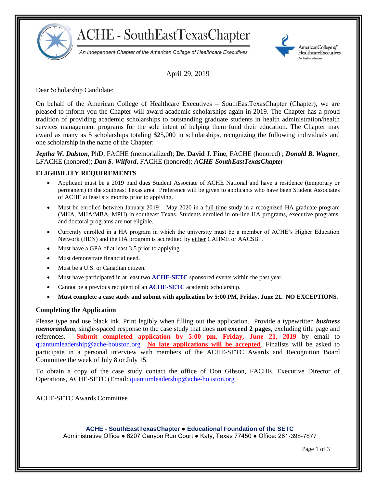

# **ACHE - SouthEastTexasChapter**

An Independent Chapter of the American College of Healthcare Executives



April 29, 2019

Dear Scholarship Candidate:

On behalf of the American College of Healthcare Executives – SouthEastTexasChapter (Chapter), we are pleased to inform you the Chapter will award academic scholarships again in 2019. The Chapter has a proud tradition of providing academic scholarships to outstanding graduate students in health administration/health services management programs for the sole intent of helping them fund their education. The Chapter may award as many as 5 scholarships totaling \$25,000 in scholarships, recognizing the following individuals and one scholarship in the name of the Chapter:

### *Jeptha W. Dalston*, PhD, FACHE (memorialized); **Dr. David J. Fine**, FACHE (honored) ; *Donald B. Wagner*, LFACHE (honored); *Dan S. Wilford*, FACHE (honored); *ACHE-SouthEastTexasChapter*

## **ELIGIBILITY REQUIREMENTS**

- Applicant must be a 2019 paid dues Student Associate of ACHE National and have a residence (temporary or permanent) in the southeast Texas area. Preference will be given to applicants who have been Student Associates of ACHE at least six months prior to applying.
- Must be enrolled between January 2019 May 2020 in a full-time study in a recognized HA graduate program (MHA, MHA/MBA, MPH) in southeast Texas. Students enrolled in on-line HA programs, executive programs, and doctoral programs are not eligible.
- Currently enrolled in a HA program in which the university must be a member of ACHE's Higher Education Network (HEN) and the HA program is accredited by either CAHME or AACSB..
- Must have a GPA of at least 3.5 prior to applying.
- Must demonstrate financial need.
- Must be a U.S. or Canadian citizen.
- Must have participated in at least two **ACHE-SETC** sponsored events within the past year.
- Cannot be a previous recipient of an **ACHE-SETC** academic scholarship.
- **Must complete a case study and submit with application by 5:00 PM, Friday, June 21. NO EXCEPTIONS.**

### **Completing the Application**

Please type and use black ink. Print legibly when filling out the application. Provide a typewritten *business memorandum*, single-spaced response to the case study that does **not exceed 2 pages**, excluding title page and references. **Submit completed application by 5:00 pm, Friday, June 21, 2019** by email to [quantumleadership@ache-houston.org](mailto:quantumleadership@ache-houston.org) **No late applications will be accepted**. Finalists will be asked to participate in a personal interview with members of the ACHE-SETC Awards and Recognition Board Committee the week of July 8 or July 15.

To obtain a copy of the case study contact the office of Don Gibson, FACHE, Executive Director of Operations, ACHE-SETC (Email: [quantumleadership@ache-houston.org](mailto:quantumleadership@ache-houston.org)

ACHE-SETC Awards Committee

#### **ACHE - SouthEastTexasChapter** ● **Educational Foundation of the SETC**

Administrative Office ● 6207 Canyon Run Court ● Katy, Texas 77450 ● Office: 281-398-7877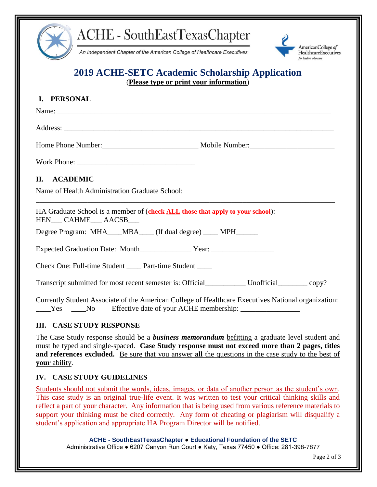





# **2019 ACHE-SETC Academic Scholarship Application**

(**Please type or print your information**)

| I. PERSONAL                                                                                                                                                                             |  |
|-----------------------------------------------------------------------------------------------------------------------------------------------------------------------------------------|--|
|                                                                                                                                                                                         |  |
|                                                                                                                                                                                         |  |
|                                                                                                                                                                                         |  |
|                                                                                                                                                                                         |  |
| II. ACADEMIC                                                                                                                                                                            |  |
| Name of Health Administration Graduate School:                                                                                                                                          |  |
| HA Graduate School is a member of (check ALL those that apply to your school):<br>HEN___ CAHME___ AACSB___                                                                              |  |
| Degree Program: MHA___MBA___(If dual degree) ____MPH______                                                                                                                              |  |
|                                                                                                                                                                                         |  |
| Check One: Full-time Student ______ Part-time Student _____                                                                                                                             |  |
|                                                                                                                                                                                         |  |
| Currently Student Associate of the American College of Healthcare Executives National organization:<br>_____Yes ______No Effective date of your ACHE membership: ______________________ |  |
| <b>III. CASE STUDY RESPONSE</b>                                                                                                                                                         |  |

The Case Study response should be a *business memorandum* befitting a graduate level student and must be typed and single-spaced. **Case Study response must not exceed more than 2 pages, titles and references excluded.** Be sure that you answer **all** the questions in the case study to the best of **your** ability.

## **IV. CASE STUDY GUIDELINES**

Students should not submit the words, ideas, images, or data of another person as the student's own. This case study is an original true-life event. It was written to test your critical thinking skills and reflect a part of your character. Any information that is being used from various reference materials to support your thinking must be cited correctly. Any form of cheating or plagiarism will disqualify a student's application and appropriate HA Program Director will be notified.

> **ACHE - SouthEastTexasChapter** ● **Educational Foundation of the SETC** Administrative Office ● 6207 Canyon Run Court ● Katy, Texas 77450 ● Office: 281-398-7877

> > Page 2 of 3